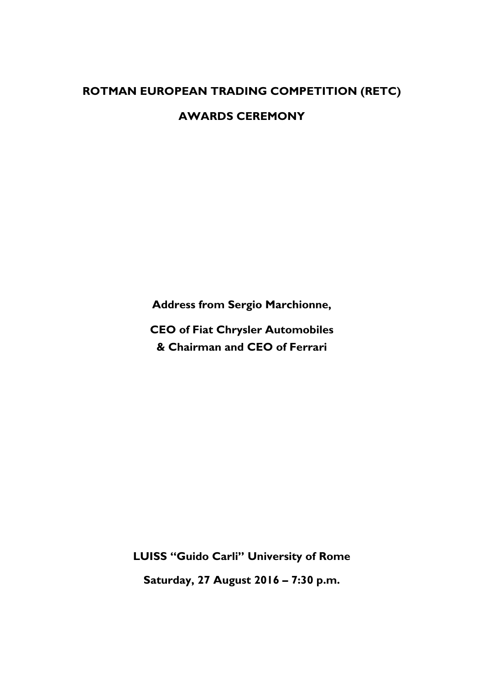## **ROTMAN EUROPEAN TRADING COMPETITION (RETC)**

**AWARDS CEREMONY**

**Address from Sergio Marchionne,**

**CEO of Fiat Chrysler Automobiles & Chairman and CEO of Ferrari**

**LUISS "Guido Carli" University of Rome Saturday, 27 August 2016 – 7:30 p.m.**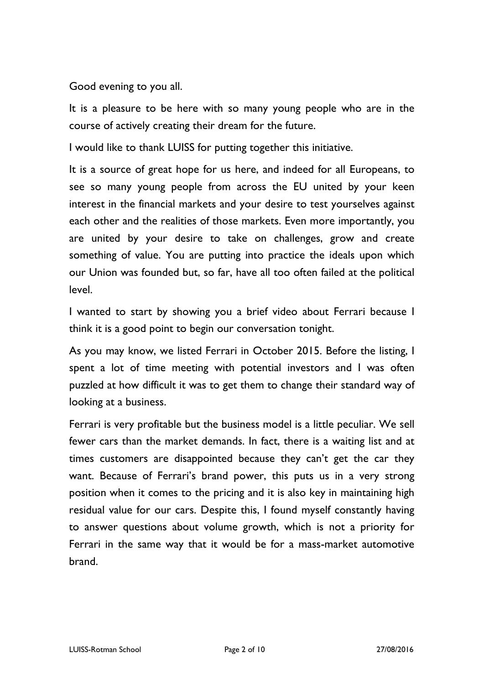Good evening to you all.

It is a pleasure to be here with so many young people who are in the course of actively creating their dream for the future.

I would like to thank LUISS for putting together this initiative.

It is a source of great hope for us here, and indeed for all Europeans, to see so many young people from across the EU united by your keen interest in the financial markets and your desire to test yourselves against each other and the realities of those markets. Even more importantly, you are united by your desire to take on challenges, grow and create something of value. You are putting into practice the ideals upon which our Union was founded but, so far, have all too often failed at the political level.

I wanted to start by showing you a brief video about Ferrari because I think it is a good point to begin our conversation tonight.

As you may know, we listed Ferrari in October 2015. Before the listing, I spent a lot of time meeting with potential investors and I was often puzzled at how difficult it was to get them to change their standard way of looking at a business.

Ferrari is very profitable but the business model is a little peculiar. We sell fewer cars than the market demands. In fact, there is a waiting list and at times customers are disappointed because they can't get the car they want. Because of Ferrari's brand power, this puts us in a very strong position when it comes to the pricing and it is also key in maintaining high residual value for our cars. Despite this, I found myself constantly having to answer questions about volume growth, which is not a priority for Ferrari in the same way that it would be for a mass-market automotive brand.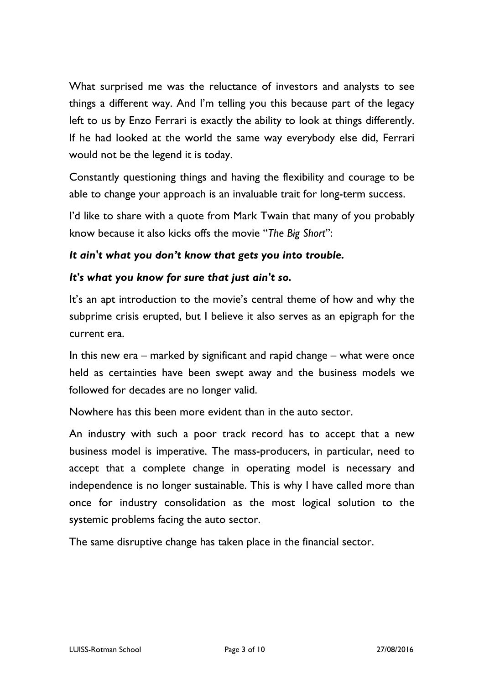What surprised me was the reluctance of investors and analysts to see things a different way. And I'm telling you this because part of the legacy left to us by Enzo Ferrari is exactly the ability to look at things differently. If he had looked at the world the same way everybody else did, Ferrari would not be the legend it is today.

Constantly questioning things and having the flexibility and courage to be able to change your approach is an invaluable trait for long-term success.

I'd like to share with a quote from Mark Twain that many of you probably know because it also kicks offs the movie "*The Big Short*":

## *It ain't what you don't know that gets you into trouble.*

## *It's what you know for sure that just ain't so.*

It's an apt introduction to the movie's central theme of how and why the subprime crisis erupted, but I believe it also serves as an epigraph for the current era.

In this new era – marked by significant and rapid change – what were once held as certainties have been swept away and the business models we followed for decades are no longer valid.

Nowhere has this been more evident than in the auto sector.

An industry with such a poor track record has to accept that a new business model is imperative. The mass-producers, in particular, need to accept that a complete change in operating model is necessary and independence is no longer sustainable. This is why I have called more than once for industry consolidation as the most logical solution to the systemic problems facing the auto sector.

The same disruptive change has taken place in the financial sector.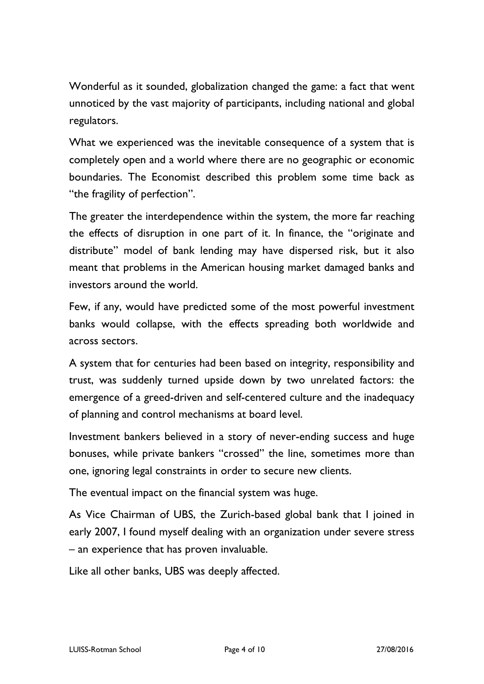Wonderful as it sounded, globalization changed the game: a fact that went unnoticed by the vast majority of participants, including national and global regulators.

What we experienced was the inevitable consequence of a system that is completely open and a world where there are no geographic or economic boundaries. The Economist described this problem some time back as "the fragility of perfection".

The greater the interdependence within the system, the more far reaching the effects of disruption in one part of it. In finance, the "originate and distribute" model of bank lending may have dispersed risk, but it also meant that problems in the American housing market damaged banks and investors around the world.

Few, if any, would have predicted some of the most powerful investment banks would collapse, with the effects spreading both worldwide and across sectors.

A system that for centuries had been based on integrity, responsibility and trust, was suddenly turned upside down by two unrelated factors: the emergence of a greed-driven and self-centered culture and the inadequacy of planning and control mechanisms at board level.

Investment bankers believed in a story of never-ending success and huge bonuses, while private bankers "crossed" the line, sometimes more than one, ignoring legal constraints in order to secure new clients.

The eventual impact on the financial system was huge.

As Vice Chairman of UBS, the Zurich-based global bank that I joined in early 2007, I found myself dealing with an organization under severe stress – an experience that has proven invaluable.

Like all other banks, UBS was deeply affected.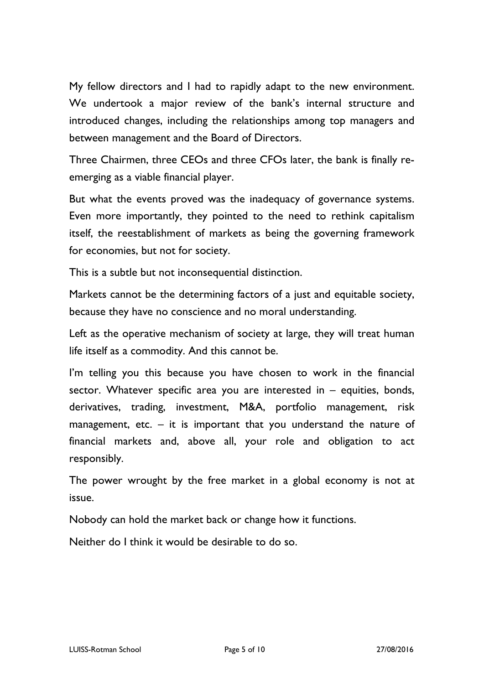My fellow directors and I had to rapidly adapt to the new environment. We undertook a major review of the bank's internal structure and introduced changes, including the relationships among top managers and between management and the Board of Directors.

Three Chairmen, three CEOs and three CFOs later, the bank is finally reemerging as a viable financial player.

But what the events proved was the inadequacy of governance systems. Even more importantly, they pointed to the need to rethink capitalism itself, the reestablishment of markets as being the governing framework for economies, but not for society.

This is a subtle but not inconsequential distinction.

Markets cannot be the determining factors of a just and equitable society, because they have no conscience and no moral understanding.

Left as the operative mechanism of society at large, they will treat human life itself as a commodity. And this cannot be.

I'm telling you this because you have chosen to work in the financial sector. Whatever specific area you are interested in – equities, bonds, derivatives, trading, investment, M&A, portfolio management, risk management, etc.  $-$  it is important that you understand the nature of financial markets and, above all, your role and obligation to act responsibly.

The power wrought by the free market in a global economy is not at issue.

Nobody can hold the market back or change how it functions.

Neither do I think it would be desirable to do so.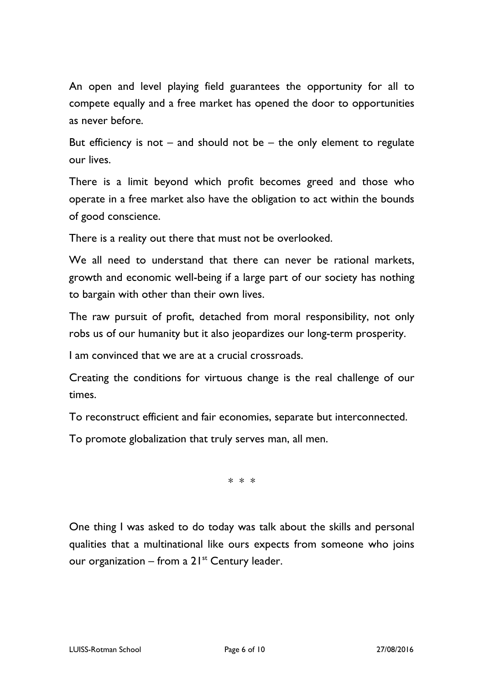An open and level playing field guarantees the opportunity for all to compete equally and a free market has opened the door to opportunities as never before.

But efficiency is not  $-$  and should not be  $-$  the only element to regulate our lives.

There is a limit beyond which profit becomes greed and those who operate in a free market also have the obligation to act within the bounds of good conscience.

There is a reality out there that must not be overlooked.

We all need to understand that there can never be rational markets, growth and economic well-being if a large part of our society has nothing to bargain with other than their own lives.

The raw pursuit of profit, detached from moral responsibility, not only robs us of our humanity but it also jeopardizes our long-term prosperity.

I am convinced that we are at a crucial crossroads.

Creating the conditions for virtuous change is the real challenge of our times.

To reconstruct efficient and fair economies, separate but interconnected.

To promote globalization that truly serves man, all men.

\* \* \*

One thing I was asked to do today was talk about the skills and personal qualities that a multinational like ours expects from someone who joins our organization – from a  $21^{st}$  Century leader.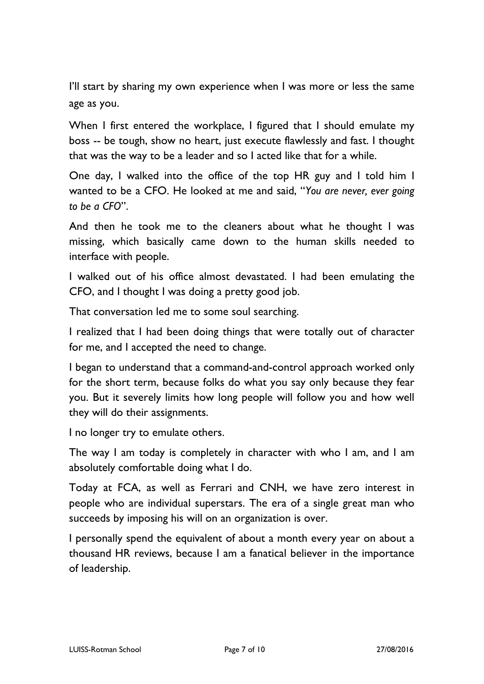I'll start by sharing my own experience when I was more or less the same age as you.

When I first entered the workplace, I figured that I should emulate my boss -- be tough, show no heart, just execute flawlessly and fast. I thought that was the way to be a leader and so I acted like that for a while.

One day, I walked into the office of the top HR guy and I told him I wanted to be a CFO. He looked at me and said, "*You are never, ever going to be a CFO*".

And then he took me to the cleaners about what he thought I was missing, which basically came down to the human skills needed to interface with people.

I walked out of his office almost devastated. I had been emulating the CFO, and I thought I was doing a pretty good job.

That conversation led me to some soul searching.

I realized that I had been doing things that were totally out of character for me, and I accepted the need to change.

I began to understand that a command-and-control approach worked only for the short term, because folks do what you say only because they fear you. But it severely limits how long people will follow you and how well they will do their assignments.

I no longer try to emulate others.

The way I am today is completely in character with who I am, and I am absolutely comfortable doing what I do.

Today at FCA, as well as Ferrari and CNH, we have zero interest in people who are individual superstars. The era of a single great man who succeeds by imposing his will on an organization is over.

I personally spend the equivalent of about a month every year on about a thousand HR reviews, because I am a fanatical believer in the importance of leadership.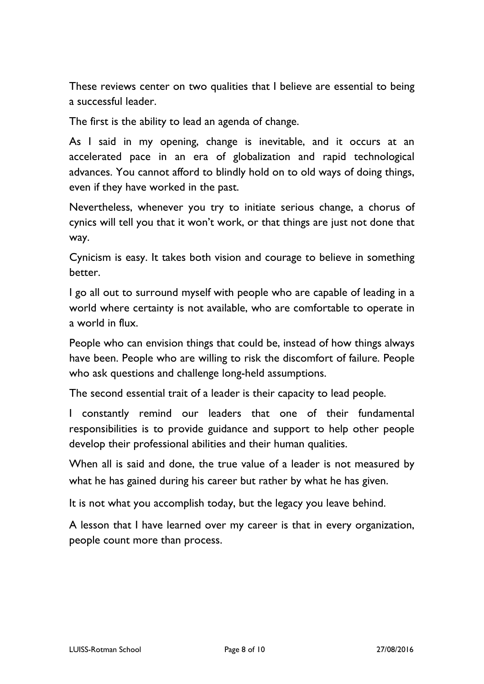These reviews center on two qualities that I believe are essential to being a successful leader.

The first is the ability to lead an agenda of change.

As I said in my opening, change is inevitable, and it occurs at an accelerated pace in an era of globalization and rapid technological advances. You cannot afford to blindly hold on to old ways of doing things, even if they have worked in the past.

Nevertheless, whenever you try to initiate serious change, a chorus of cynics will tell you that it won't work, or that things are just not done that way.

Cynicism is easy. It takes both vision and courage to believe in something better.

I go all out to surround myself with people who are capable of leading in a world where certainty is not available, who are comfortable to operate in a world in flux.

People who can envision things that could be, instead of how things always have been. People who are willing to risk the discomfort of failure. People who ask questions and challenge long-held assumptions.

The second essential trait of a leader is their capacity to lead people.

I constantly remind our leaders that one of their fundamental responsibilities is to provide guidance and support to help other people develop their professional abilities and their human qualities.

When all is said and done, the true value of a leader is not measured by what he has gained during his career but rather by what he has given.

It is not what you accomplish today, but the legacy you leave behind.

A lesson that I have learned over my career is that in every organization, people count more than process.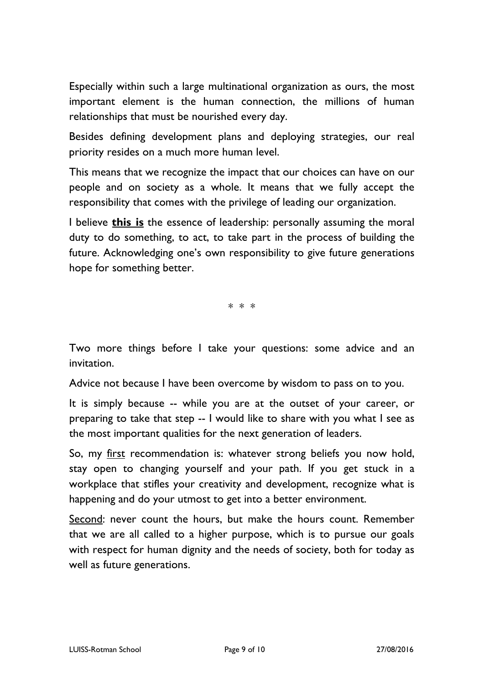Especially within such a large multinational organization as ours, the most important element is the human connection, the millions of human relationships that must be nourished every day.

Besides defining development plans and deploying strategies, our real priority resides on a much more human level.

This means that we recognize the impact that our choices can have on our people and on society as a whole. It means that we fully accept the responsibility that comes with the privilege of leading our organization.

I believe **this is** the essence of leadership: personally assuming the moral duty to do something, to act, to take part in the process of building the future. Acknowledging one's own responsibility to give future generations hope for something better.

\* \* \*

Two more things before I take your questions: some advice and an invitation.

Advice not because I have been overcome by wisdom to pass on to you.

It is simply because -- while you are at the outset of your career, or preparing to take that step -- I would like to share with you what I see as the most important qualities for the next generation of leaders.

So, my first recommendation is: whatever strong beliefs you now hold, stay open to changing yourself and your path. If you get stuck in a workplace that stifles your creativity and development, recognize what is happening and do your utmost to get into a better environment.

Second: never count the hours, but make the hours count. Remember that we are all called to a higher purpose, which is to pursue our goals with respect for human dignity and the needs of society, both for today as well as future generations.